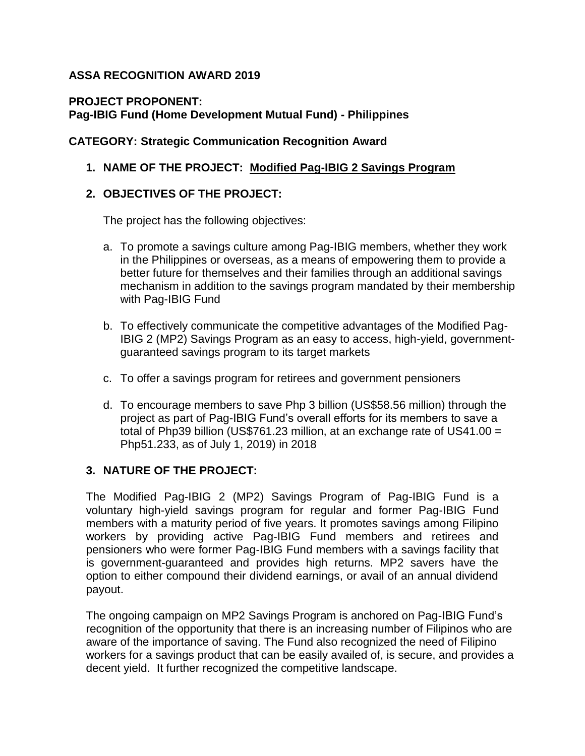# **ASSA RECOGNITION AWARD 2019**

# **PROJECT PROPONENT: Pag-IBIG Fund (Home Development Mutual Fund) - Philippines**

### **CATEGORY: Strategic Communication Recognition Award**

### **1. NAME OF THE PROJECT: Modified Pag-IBIG 2 Savings Program**

### **2. OBJECTIVES OF THE PROJECT:**

The project has the following objectives:

- a. To promote a savings culture among Pag-IBIG members, whether they work in the Philippines or overseas, as a means of empowering them to provide a better future for themselves and their families through an additional savings mechanism in addition to the savings program mandated by their membership with Pag-IBIG Fund
- b. To effectively communicate the competitive advantages of the Modified Pag-IBIG 2 (MP2) Savings Program as an easy to access, high-yield, governmentguaranteed savings program to its target markets
- c. To offer a savings program for retirees and government pensioners
- d. To encourage members to save Php 3 billion (US\$58.56 million) through the project as part of Pag-IBIG Fund's overall efforts for its members to save a total of Php39 billion (US\$761.23 million, at an exchange rate of US41.00 = Php51.233, as of July 1, 2019) in 2018

#### **3. NATURE OF THE PROJECT:**

The Modified Pag-IBIG 2 (MP2) Savings Program of Pag-IBIG Fund is a voluntary high-yield savings program for regular and former Pag-IBIG Fund members with a maturity period of five years. It promotes savings among Filipino workers by providing active Pag-IBIG Fund members and retirees and pensioners who were former Pag-IBIG Fund members with a savings facility that is government-guaranteed and provides high returns. MP2 savers have the option to either compound their dividend earnings, or avail of an annual dividend payout.

The ongoing campaign on MP2 Savings Program is anchored on Pag-IBIG Fund's recognition of the opportunity that there is an increasing number of Filipinos who are aware of the importance of saving. The Fund also recognized the need of Filipino workers for a savings product that can be easily availed of, is secure, and provides a decent yield. It further recognized the competitive landscape.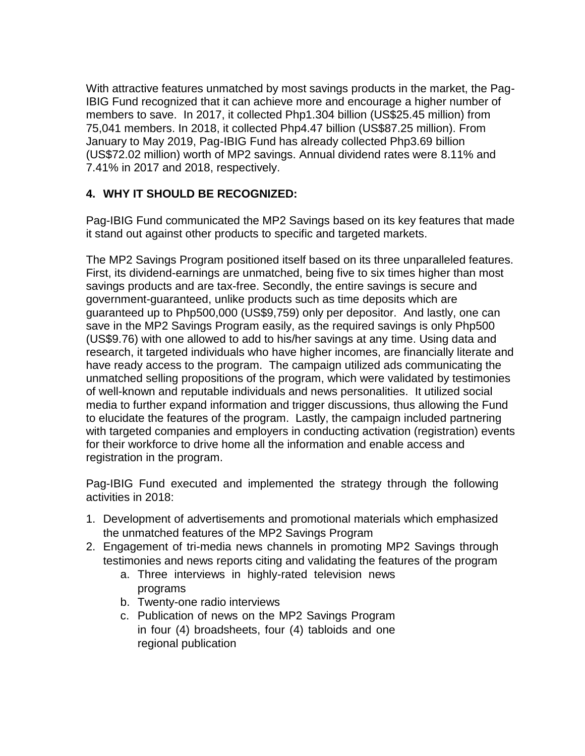With attractive features unmatched by most savings products in the market, the Pag-IBIG Fund recognized that it can achieve more and encourage a higher number of members to save. In 2017, it collected Php1.304 billion (US\$25.45 million) from 75,041 members. In 2018, it collected Php4.47 billion (US\$87.25 million). From January to May 2019, Pag-IBIG Fund has already collected Php3.69 billion (US\$72.02 million) worth of MP2 savings. Annual dividend rates were 8.11% and 7.41% in 2017 and 2018, respectively.

# **4. WHY IT SHOULD BE RECOGNIZED:**

Pag-IBIG Fund communicated the MP2 Savings based on its key features that made it stand out against other products to specific and targeted markets.

The MP2 Savings Program positioned itself based on its three unparalleled features. First, its dividend-earnings are unmatched, being five to six times higher than most savings products and are tax-free. Secondly, the entire savings is secure and government-guaranteed, unlike products such as time deposits which are guaranteed up to Php500,000 (US\$9,759) only per depositor. And lastly, one can save in the MP2 Savings Program easily, as the required savings is only Php500 (US\$9.76) with one allowed to add to his/her savings at any time. Using data and research, it targeted individuals who have higher incomes, are financially literate and have ready access to the program. The campaign utilized ads communicating the unmatched selling propositions of the program, which were validated by testimonies of well-known and reputable individuals and news personalities. It utilized social media to further expand information and trigger discussions, thus allowing the Fund to elucidate the features of the program. Lastly, the campaign included partnering with targeted companies and employers in conducting activation (registration) events for their workforce to drive home all the information and enable access and registration in the program.

Pag-IBIG Fund executed and implemented the strategy through the following activities in 2018:

- 1. Development of advertisements and promotional materials which emphasized the unmatched features of the MP2 Savings Program
- 2. Engagement of tri-media news channels in promoting MP2 Savings through testimonies and news reports citing and validating the features of the program
	- a. Three interviews in highly-rated television news programs
	- b. Twenty-one radio interviews
	- c. Publication of news on the MP2 Savings Program in four (4) broadsheets, four (4) tabloids and one regional publication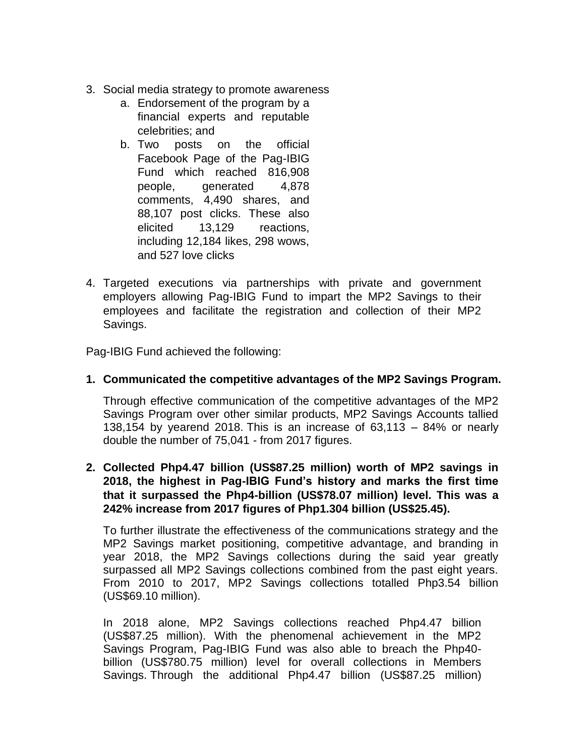- 3. Social media strategy to promote awareness
	- a. Endorsement of the program by a financial experts and reputable celebrities; and
	- b. Two posts on the official Facebook Page of the Pag-IBIG Fund which reached 816,908 people, generated 4,878 comments, 4,490 shares, and 88,107 post clicks. These also elicited 13,129 reactions, including 12,184 likes, 298 wows, and 527 love clicks
- 4. Targeted executions via partnerships with private and government employers allowing Pag-IBIG Fund to impart the MP2 Savings to their employees and facilitate the registration and collection of their MP2 Savings.

Pag-IBIG Fund achieved the following:

#### **1. Communicated the competitive advantages of the MP2 Savings Program.**

Through effective communication of the competitive advantages of the MP2 Savings Program over other similar products, MP2 Savings Accounts tallied 138,154 by yearend 2018. This is an increase of  $63,113 - 84\%$  or nearly double the number of 75,041 - from 2017 figures.

#### **2. Collected Php4.47 billion (US\$87.25 million) worth of MP2 savings in 2018, the highest in Pag-IBIG Fund's history and marks the first time that it surpassed the Php4-billion (US\$78.07 million) level. This was a 242% increase from 2017 figures of Php1.304 billion (US\$25.45).**

To further illustrate the effectiveness of the communications strategy and the MP2 Savings market positioning, competitive advantage, and branding in year 2018, the MP2 Savings collections during the said year greatly surpassed all MP2 Savings collections combined from the past eight years. From 2010 to 2017, MP2 Savings collections totalled Php3.54 billion (US\$69.10 million).

In 2018 alone, MP2 Savings collections reached Php4.47 billion (US\$87.25 million). With the phenomenal achievement in the MP2 Savings Program, Pag-IBIG Fund was also able to breach the Php40 billion (US\$780.75 million) level for overall collections in Members Savings. Through the additional Php4.47 billion (US\$87.25 million)